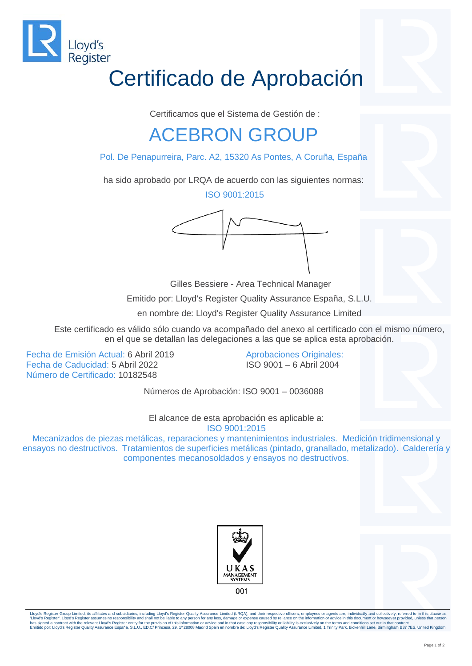

## Certificado de Aprobación

Certificamos que el Sistema de Gestión de :

## ACEBRON GROUP

Pol. De Penapurreira, Parc. A2, 15320 As Pontes, A Coruña, España

ha sido aprobado por LRQA de acuerdo con las siguientes normas:

ISO 9001:2015



Gilles Bessiere - Area Technical Manager

Emitido por: Lloyd's Register Quality Assurance España, S.L.U.

en nombre de: Lloyd's Register Quality Assurance Limited

Este certificado es válido sólo cuando va acompañado del anexo al certificado con el mismo número, en el que se detallan las delegaciones a las que se aplica esta aprobación.

Fecha de Emisión Actual: 6 Abril 2019 Fecha de Caducidad: 5 Abril 2022 Número de Certificado: 10182548

Aprobaciones Originales: ISO 9001 – 6 Abril 2004

Números de Aprobación: ISO 9001 – 0036088

El alcance de esta aprobación es aplicable a: ISO 9001:2015

Mecanizados de piezas metálicas, reparaciones y mantenimientos industriales. Medición tridimensional y ensayos no destructivos. Tratamientos de superficies metálicas (pintado, granallado, metalizado). Calderería y componentes mecanosoldados y ensayos no destructivos.





Lloyd's Register Group Limited, its affiliates and subsidiaries, including Lloyd's Register Quality Assurance Limited (LRQA), and their respective officers, employees or agents are, individually and collectively, referred